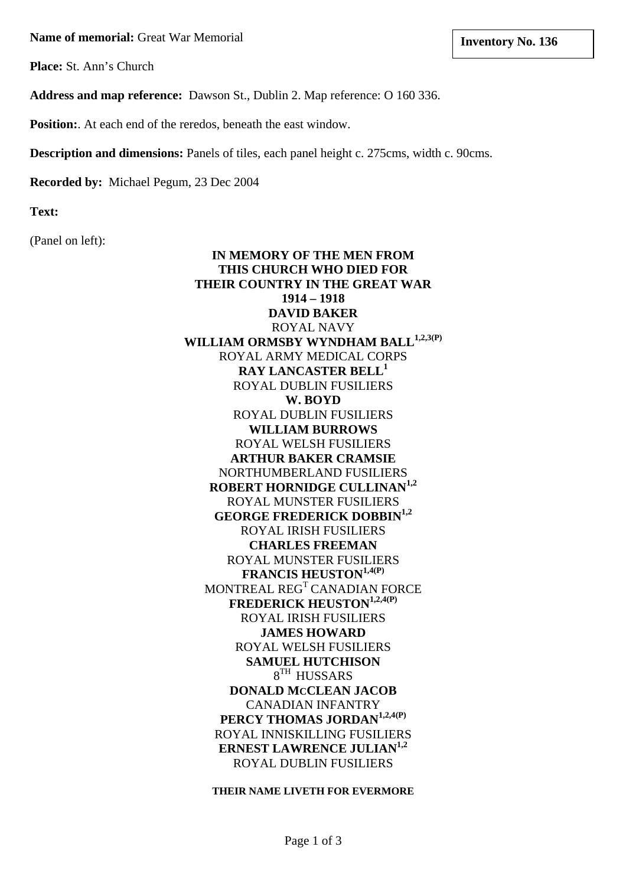**Name of memorial:** Great War Memorial **and Server War Memorial lates and Inventory No. 136** 

**Place:** St. Ann's Church

**Address and map reference:** Dawson St., Dublin 2. Map reference: O 160 336.

**Position:**. At each end of the reredos, beneath the east window.

**Description and dimensions:** Panels of tiles, each panel height c. 275cms, width c. 90cms.

**Recorded by:** Michael Pegum, 23 Dec 2004

**Text:**

(Panel on left):

**IN MEMORY OF THE MEN FROM THIS CHURCH WHO DIED FOR THEIR COUNTRY IN THE GREAT WAR 1914 – 1918 DAVID BAKER**  ROYAL NAVY WILLIAM ORMSBY WYNDHAM BALL<sup>1,2,3(P)</sup> ROYAL ARMY MEDICAL CORPS **RAY LANCASTER BELL<sup>1</sup>** ROYAL DUBLIN FUSILIERS **W. BOYD**  ROYAL DUBLIN FUSILIERS **WILLIAM BURROWS**  ROYAL WELSH FUSILIERS **ARTHUR BAKER CRAMSIE**  NORTHUMBERLAND FUSILIERS **ROBERT HORNIDGE CULLINAN1,2** ROYAL MUNSTER FUSILIERS **GEORGE FREDERICK DOBBIN1,2** ROYAL IRISH FUSILIERS **CHARLES FREEMAN**  ROYAL MUNSTER FUSILIERS **FRANCIS HEUSTON1,4(P)** MONTREAL REG<sup>T</sup> CANADIAN FORCE **FREDERICK HEUSTON1,2,4(P)** ROYAL IRISH FUSILIERS **JAMES HOWARD**  ROYAL WELSH FUSILIERS **SAMUEL HUTCHISON**   $8^{TH}$  HUSSARS **DONALD MCCLEAN JACOB**  CANADIAN INFANTRY **PERCY THOMAS JORDAN1,2,4(P)** ROYAL INNISKILLING FUSILIERS **ERNEST LAWRENCE JULIAN**<sup>1,2</sup> ROYAL DUBLIN FUSILIERS

**THEIR NAME LIVETH FOR EVERMORE**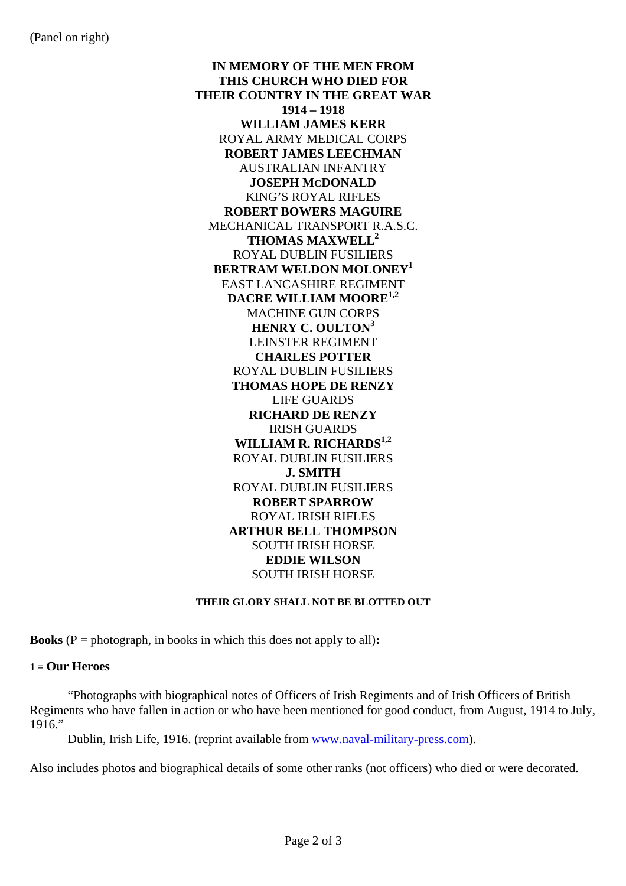**IN MEMORY OF THE MEN FROM THIS CHURCH WHO DIED FOR THEIR COUNTRY IN THE GREAT WAR 1914 – 1918 WILLIAM JAMES KERR**  ROYAL ARMY MEDICAL CORPS **ROBERT JAMES LEECHMAN**  AUSTRALIAN INFANTRY **JOSEPH MCDONALD**  KING'S ROYAL RIFLES **ROBERT BOWERS MAGUIRE**  MECHANICAL TRANSPORT R.A.S.C. **THOMAS MAXWELL2** ROYAL DUBLIN FUSILIERS **BERTRAM WELDON MOLONEY1** EAST LANCASHIRE REGIMENT **DACRE WILLIAM MOORE1,2** MACHINE GUN CORPS **HENRY C. OULTON<sup>3</sup>** LEINSTER REGIMENT **CHARLES POTTER**  ROYAL DUBLIN FUSILIERS **THOMAS HOPE DE RENZY**  LIFE GUARDS **RICHARD DE RENZY**  IRISH GUARDS **WILLIAM R. RICHARDS1,2** ROYAL DUBLIN FUSILIERS **J. SMITH**  ROYAL DUBLIN FUSILIERS **ROBERT SPARROW**  ROYAL IRISH RIFLES **ARTHUR BELL THOMPSON**  SOUTH IRISH HORSE **EDDIE WILSON**  SOUTH IRISH HORSE

#### **THEIR GLORY SHALL NOT BE BLOTTED OUT**

**Books**  $(P = \text{photograph, in books in which this does not apply to all):$ 

#### **1 = Our Heroes**

 "Photographs with biographical notes of Officers of Irish Regiments and of Irish Officers of British Regiments who have fallen in action or who have been mentioned for good conduct, from August, 1914 to July, 1916."

Dublin, Irish Life, 1916. (reprint available from [www.naval-military-press.com\)](http://www.naval-military-press.com/).

Also includes photos and biographical details of some other ranks (not officers) who died or were decorated.